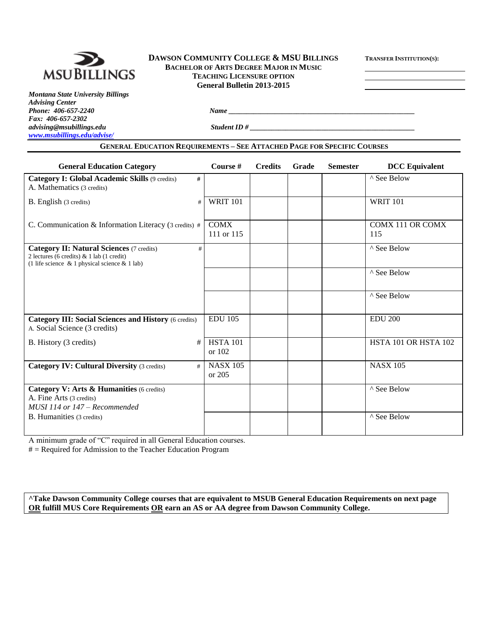

## **DAWSON COMMUNITY COLLEGE & MSU BILLINGS TRANSFER INSTITUTION(S): BACHELOR OF ARTS DEGREE MAJOR IN MUSIC TEACHING LICENSURE OPTION General Bulletin 2013-2015**

*Montana State University Billings Advising Center Phone:* 406-657-2240 *Name Fax: 406-657-2302 advising@msubillings.edu Student ID # \_\_\_\_\_\_\_\_\_\_\_\_\_\_\_\_\_\_\_\_\_\_\_\_\_\_\_\_\_\_\_\_\_\_\_\_\_\_\_\_\_\_\_\_\_\_ [www.msubillings.edu/advise/](http://www.msubillings.edu/advise/)*

# **GENERAL EDUCATION REQUIREMENTS – SEE ATTACHED PAGE FOR SPECIFIC COURSES**

| <b>General Education Category</b>                                                                                                                            | Course #                  | <b>Credits</b> | Grade | <b>Semester</b> | <b>DCC</b> Equivalent   |
|--------------------------------------------------------------------------------------------------------------------------------------------------------------|---------------------------|----------------|-------|-----------------|-------------------------|
| <b>Category I: Global Academic Skills (9 credits)</b><br>#<br>A. Mathematics (3 credits)                                                                     |                           |                |       |                 | ^ See Below             |
| B. English (3 credits)<br>#                                                                                                                                  | <b>WRIT 101</b>           |                |       |                 | <b>WRIT 101</b>         |
| C. Communication & Information Literacy (3 credits) #                                                                                                        | <b>COMX</b><br>111 or 115 |                |       |                 | COMX 111 OR COMX<br>115 |
| <b>Category II: Natural Sciences (7 credits)</b><br>#<br>2 lectures (6 credits) $\&$ 1 lab (1 credit)<br>(1 life science $\&$ 1 physical science $\&$ 1 lab) |                           |                |       |                 | ^ See Below             |
|                                                                                                                                                              |                           |                |       |                 | ^ See Below             |
|                                                                                                                                                              |                           |                |       |                 | ^ See Below             |
| <b>Category III: Social Sciences and History (6 credits)</b><br>A. Social Science (3 credits)                                                                | <b>EDU 105</b>            |                |       |                 | <b>EDU 200</b>          |
| #<br>B. History (3 credits)                                                                                                                                  | <b>HSTA 101</b><br>or 102 |                |       |                 | HSTA 101 OR HSTA 102    |
| <b>Category IV: Cultural Diversity (3 credits)</b><br>#                                                                                                      | <b>NASX 105</b><br>or 205 |                |       |                 | <b>NASX 105</b>         |
| Category V: Arts & Humanities (6 credits)<br>A. Fine Arts (3 credits)<br>MUSI 114 or 147 - Recommended                                                       |                           |                |       |                 | ^ See Below             |
| <b>B.</b> Humanities (3 credits)                                                                                                                             |                           |                |       |                 | ^ See Below             |

A minimum grade of "C" required in all General Education courses.

 $#$  = Required for Admission to the Teacher Education Program

**^Take Dawson Community College courses that are equivalent to MSUB General Education Requirements on next page OR fulfill MUS Core Requirements OR earn an AS or AA degree from Dawson Community College.**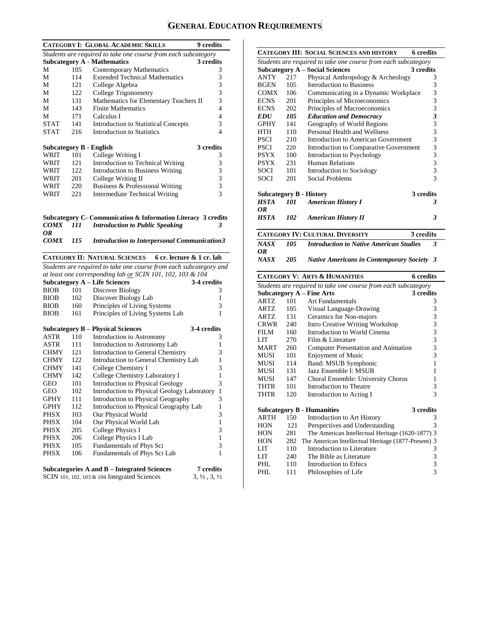# **GENERAL EDUCATION REQUIREMENTS**

|                                |     | <b>CATEGORY I: GLOBAL ACADEMIC SKILLS</b>                                                               | 9 credits                                     |
|--------------------------------|-----|---------------------------------------------------------------------------------------------------------|-----------------------------------------------|
|                                |     | Students are required to take one course from each subcategory                                          |                                               |
|                                |     | <b>Subcategory A - Mathematics</b>                                                                      | 3 credits                                     |
| М                              | 105 | <b>Contemporary Mathematics</b>                                                                         | 3                                             |
| М                              | 114 | <b>Extended Technical Mathematics</b>                                                                   | 3                                             |
| М                              | 121 | College Algebra                                                                                         | 3                                             |
| М                              | 122 | College Trigonometry                                                                                    | 3                                             |
| М                              | 131 | Mathematics for Elementary Teachers II                                                                  | 3                                             |
| М                              | 143 | <b>Finite Mathematics</b>                                                                               | 4                                             |
| М                              | 171 | Calculus I                                                                                              | 4                                             |
| <b>STAT</b>                    | 141 | <b>Introduction to Statistical Concepts</b>                                                             | 3                                             |
| <b>STAT</b>                    | 216 | <b>Introduction to Statistics</b>                                                                       | 4                                             |
| <b>Subcategory B - English</b> |     |                                                                                                         | 3 credits                                     |
| WRIT                           | 101 | College Writing I                                                                                       | 3                                             |
| WRIT                           | 121 | Introduction to Technical Writing                                                                       | 3                                             |
| WRIT                           | 122 | Introduction to Business Writing                                                                        | 3                                             |
| WRIT                           | 201 | College Writing II                                                                                      | 3                                             |
| WRIT                           | 220 | Business & Professional Writing                                                                         | 3                                             |
| WRIT                           | 221 | Intermediate Technical Writing                                                                          | 3                                             |
|                                |     |                                                                                                         |                                               |
|                                |     |                                                                                                         |                                               |
| <b>COMX</b>                    | 111 | Subcategory C- Communication & Information Literacy 3 credits<br><b>Introduction to Public Speaking</b> | 3                                             |
| 0R                             |     |                                                                                                         |                                               |
| <b>COMX</b>                    | 115 | <b>Introduction to Interpersonal Communication3</b>                                                     |                                               |
|                                |     | <b>CATEGORY II: NATURAL SCIENCES</b><br>6 cr. lecture & 1 cr. lab                                       |                                               |
|                                |     | Students are required to take one course from each subcategory and                                      |                                               |
|                                |     | at least one corresponding lab or SCIN 101, 102, 103 & 104                                              |                                               |
|                                |     | <b>Subcategory A - Life Sciences</b>                                                                    | 3-4 credits                                   |
| <b>BIOB</b>                    | 101 | Discover Biology                                                                                        | 3                                             |
| <b>BIOB</b>                    | 102 | Discover Biology Lab                                                                                    | 1                                             |
| <b>BIOB</b>                    | 160 | Principles of Living Systems                                                                            | 3                                             |
| <b>BIOB</b>                    | 161 | Principles of Living Systems Lab                                                                        | 1                                             |
|                                |     | <b>Subcategory B – Physical Sciences</b>                                                                | 3-4 credits                                   |
| ASTR                           | 110 | Introduction to Astronomy                                                                               | 3                                             |
| ASTR                           | 111 | Introduction to Astronomy Lab                                                                           | 1                                             |
| <b>CHMY</b>                    | 121 | Introduction to General Chemistry                                                                       | 3                                             |
| <b>CHMY</b>                    | 122 | Introduction to General Chemistry Lab                                                                   | 1                                             |
| <b>CHMY</b>                    | 141 | College Chemistry I                                                                                     | 3                                             |
| <b>CHMY</b>                    | 142 | College Chemistry Laboratory I                                                                          | 1                                             |
| <b>GEO</b>                     | 101 | Introduction to Physical Geology                                                                        | 3                                             |
| GEO                            | 102 | Introduction to Physical Geology Laboratory                                                             | 1                                             |
| <b>GPHY</b>                    | 111 | Introduction to Physical Geography                                                                      | 3                                             |
| GPHY                           | 112 | Introduction to Physical Geography Lab                                                                  | 1                                             |
| PHSX                           | 103 | Our Physical World                                                                                      | 3                                             |
| PHSX                           | 104 | Our Physical World Lab                                                                                  | $\mathbf{1}$                                  |
| PHSX                           | 205 | College Physics I                                                                                       | 3                                             |
| PHSX                           | 206 | College Physics I Lab                                                                                   | $\mathbf{1}$                                  |
| PHSX                           | 105 | Fundamentals of Phys Sci                                                                                | 3                                             |
| PHSX                           |     |                                                                                                         |                                               |
|                                | 106 | Fundamentals of Phys Sci Lab                                                                            | 1                                             |
|                                |     |                                                                                                         |                                               |
|                                |     | <b>Subcategories A and B - Integrated Sciences</b><br>SCIN 101, 102, 103 & 104 Integrated Sciences      | 7 credits<br>$3, \frac{1}{2}, 3, \frac{1}{2}$ |

|             |            | <b>CATEGORY III: SOCIAL SCIENCES AND HISTORY</b>                  | 6 credits |
|-------------|------------|-------------------------------------------------------------------|-----------|
|             |            | Students are required to take one course from each subcategory    |           |
|             |            | <b>Subcategory A – Social Sciences</b>                            | 3 credits |
| ANTY        | 217        | Physical Anthropology & Archeology                                | 3         |
| <b>BGEN</b> | 105        | <b>Introduction to Business</b>                                   | 3         |
| COMX        | 106        | Communicating in a Dynamic Workplace                              | 3         |
| <b>ECNS</b> | 201        | Principles of Microeconomics                                      | 3         |
| <b>ECNS</b> | 202        | Principles of Macroeconomics                                      | 3         |
| EDU         | 105        | <b>Education and Democracy</b>                                    | 3         |
| <b>GPHY</b> | 141        | Geography of World Regions                                        | 3         |
| HTH         | 110        | Personal Health and Wellness                                      | 3         |
| <b>PSCI</b> | 210        | <b>Introduction to American Government</b>                        | 3         |
| PSCI        | 220        | Introduction to Comparative Government                            | 3         |
| PSYX        | 100        | Introduction to Psychology                                        | 3         |
| <b>PSYX</b> | 231        | <b>Human Relations</b>                                            | 3         |
| SOCI        | 101        | Introduction to Sociology                                         | 3         |
| <b>SOCI</b> | 201        | Social Problems                                                   | 3         |
|             |            |                                                                   |           |
|             |            | <b>Subcategory B - History</b>                                    | 3 credits |
| HSTA        | 101        | <b>American History I</b>                                         | 3         |
| 0R          |            |                                                                   |           |
| HSTA        | 102        | <b>American History II</b>                                        | 3         |
|             |            | <b>CATEGORY IV: CULTURAL DIVERSITY</b>                            | 3 credits |
| NASX        | 105        | <b>Introduction to Native American Studies</b>                    | 3         |
| 0R          |            |                                                                   |           |
|             |            |                                                                   |           |
| NASX        | 205        | <b>Native Americans in Contemporary Society</b>                   | 3         |
|             |            | <b>CATEGORY V: ARTS &amp; HUMANITIES</b>                          | 6 credits |
|             |            |                                                                   |           |
|             |            | Students are required to take one course from each subcategory    | 3 credits |
| ARTZ        | 101        | <b>Subcategory A – Fine Arts</b><br><b>Art Fundamentals</b>       | 3         |
| ARTZ        | 105        | Visual Language-Drawing                                           | 3         |
| ARTZ        | 131        |                                                                   | 3         |
| <b>CRWR</b> | 240        | Ceramics for Non-majors<br><b>Intro Creative Writing Workshop</b> | 3         |
| FILM        | 160        | Introduction to World Cinema                                      |           |
| LIT         | 270        | Film & Literature                                                 | 3<br>3    |
| <b>MART</b> | 260        | Computer Presentation and Animation                               | 3         |
| MUSI        | 101        | <b>Enjoyment of Music</b>                                         | 3         |
| MUSI        | 114        | Band: MSUB Symphonic                                              | 1         |
| MUSI        | 131        | Jazz Ensemble I: MSUB                                             | 1         |
| MUSI        | 147        | Choral Ensemble: University Chorus                                | 1         |
| THTR        | 101        | Introduction to Theatre                                           | 3         |
| THTR        | 120        | Introduction to Acting I                                          | 3         |
|             |            |                                                                   |           |
|             |            | <b>Subcategory B - Humanities</b>                                 | 3 credits |
| <b>ARTH</b> | 150        | Introduction to Art History                                       | 3         |
| HON         | 121        | Perspectives and Understanding                                    | 3         |
| HON         | 281        | The American Intellectual Heritage (1620-1877) 3                  |           |
| HON         | 282        | The American Intellectual Heritage (1877-Present)                 | 3         |
| LIT         | 110        | Introduction to Literature                                        | 3         |
| LIT<br>PHL  | 240<br>110 | The Bible as Literature<br>Introduction to Ethics                 | 3<br>3    |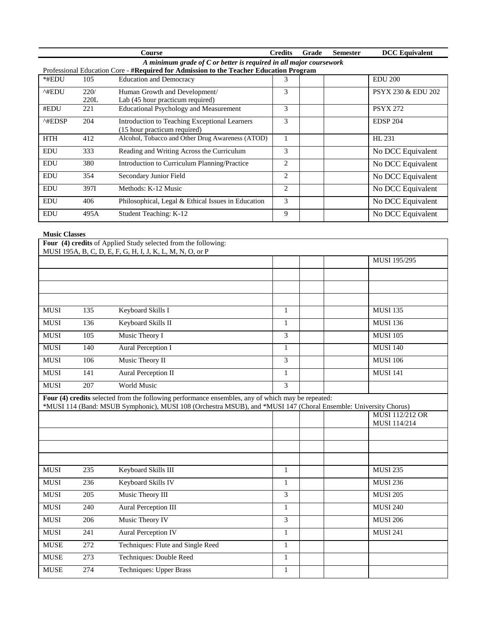|                         |                                                                                        | <b>Course</b>                                      | <b>Credits</b> | Grade | <b>Semester</b> | <b>DCC</b> Equivalent         |  |  |
|-------------------------|----------------------------------------------------------------------------------------|----------------------------------------------------|----------------|-------|-----------------|-------------------------------|--|--|
|                         | A minimum grade of $C$ or better is required in all major coursework                   |                                                    |                |       |                 |                               |  |  |
|                         | Professional Education Core - #Required for Admission to the Teacher Education Program |                                                    |                |       |                 |                               |  |  |
| *#EDU                   | 105                                                                                    | <b>Education and Democracy</b>                     | 3              |       |                 | <b>EDU 200</b>                |  |  |
| ^#EDU                   | 220/                                                                                   | Human Growth and Development/                      | 3              |       |                 | <b>PSYX 230 &amp; EDU 202</b> |  |  |
|                         | 220L                                                                                   | Lab (45 hour practicum required)                   |                |       |                 |                               |  |  |
| #EDU                    | 221                                                                                    | <b>Educational Psychology and Measurement</b>      | 3              |       |                 | <b>PSYX 272</b>               |  |  |
| $^{\wedge\text{HEDSP}}$ | 204                                                                                    | Introduction to Teaching Exceptional Learners      | 3              |       |                 | <b>EDSP 204</b>               |  |  |
|                         |                                                                                        | (15 hour practicum required)                       |                |       |                 |                               |  |  |
| <b>HTH</b>              | 412                                                                                    | Alcohol, Tobacco and Other Drug Awareness (ATOD)   |                |       |                 | HL 231                        |  |  |
| <b>EDU</b>              | 333                                                                                    | Reading and Writing Across the Curriculum          | 3              |       |                 | No DCC Equivalent             |  |  |
| <b>EDU</b>              | 380                                                                                    | Introduction to Curriculum Planning/Practice       | 2              |       |                 | No DCC Equivalent             |  |  |
| <b>EDU</b>              | 354                                                                                    | Secondary Junior Field                             | 2              |       |                 | No DCC Equivalent             |  |  |
| <b>EDU</b>              | 397I                                                                                   | Methods: K-12 Music                                | 2              |       |                 | No DCC Equivalent             |  |  |
| <b>EDU</b>              | 406                                                                                    | Philosophical, Legal & Ethical Issues in Education | 3              |       |                 | No DCC Equivalent             |  |  |
| <b>EDU</b>              | 495A                                                                                   | Student Teaching: K-12                             | 9              |       |                 | No DCC Equivalent             |  |  |
|                         |                                                                                        |                                                    |                |       |                 |                               |  |  |

# **Music Classes**

|             |     | Four (4) credits of Applied Study selected from the following:<br>MUSI 195A, B, C, D, E, F, G, H, I, J, K, L, M, N, O, or P |              |                                 |
|-------------|-----|-----------------------------------------------------------------------------------------------------------------------------|--------------|---------------------------------|
|             |     |                                                                                                                             |              | MUSI 195/295                    |
|             |     |                                                                                                                             |              |                                 |
|             |     |                                                                                                                             |              |                                 |
|             |     |                                                                                                                             |              |                                 |
| <b>MUSI</b> | 135 | Keyboard Skills I                                                                                                           | $\mathbf{1}$ | <b>MUSI 135</b>                 |
| <b>MUSI</b> | 136 | Keyboard Skills II                                                                                                          | $\mathbf{1}$ | <b>MUSI 136</b>                 |
| <b>MUSI</b> | 105 | Music Theory I                                                                                                              | 3            | <b>MUSI 105</b>                 |
| <b>MUSI</b> | 140 | <b>Aural Perception I</b>                                                                                                   | $\mathbf{1}$ | <b>MUSI 140</b>                 |
| <b>MUSI</b> | 106 | Music Theory II                                                                                                             | 3            | <b>MUSI 106</b>                 |
| <b>MUSI</b> | 141 | Aural Perception II                                                                                                         | $\mathbf{1}$ | <b>MUSI 141</b>                 |
| <b>MUSI</b> | 207 | <b>World Music</b>                                                                                                          | 3            |                                 |
|             |     | Four (4) credits selected from the following performance ensembles, any of which may be repeated:                           |              |                                 |
|             |     | *MUSI 114 (Band: MSUB Symphonic), MUSI 108 (Orchestra MSUB), and *MUSI 147 (Choral Ensemble: University Chorus)             |              |                                 |
|             |     |                                                                                                                             |              | MUSI 112/212 OR<br>MUSI 114/214 |
|             |     |                                                                                                                             |              |                                 |
|             |     |                                                                                                                             |              |                                 |
|             |     |                                                                                                                             |              |                                 |
| <b>MUSI</b> | 235 | Keyboard Skills III                                                                                                         | $\mathbf{1}$ | <b>MUSI 235</b>                 |
| <b>MUSI</b> | 236 | Keyboard Skills IV                                                                                                          | $\mathbf{1}$ | <b>MUSI 236</b>                 |
| <b>MUSI</b> | 205 | Music Theory III                                                                                                            | 3            | <b>MUSI 205</b>                 |
| <b>MUSI</b> | 240 | <b>Aural Perception III</b>                                                                                                 | $\mathbf{1}$ | <b>MUSI 240</b>                 |
| <b>MUSI</b> | 206 | Music Theory IV                                                                                                             | 3            | <b>MUSI 206</b>                 |
| <b>MUSI</b> | 241 | <b>Aural Perception IV</b>                                                                                                  | $\mathbf{1}$ | <b>MUSI 241</b>                 |
| <b>MUSE</b> | 272 | Techniques: Flute and Single Reed                                                                                           | $\mathbf{1}$ |                                 |
| <b>MUSE</b> | 273 | Techniques: Double Reed                                                                                                     | $\mathbf{1}$ |                                 |
| <b>MUSE</b> | 274 | <b>Techniques: Upper Brass</b>                                                                                              | $\mathbf{1}$ |                                 |